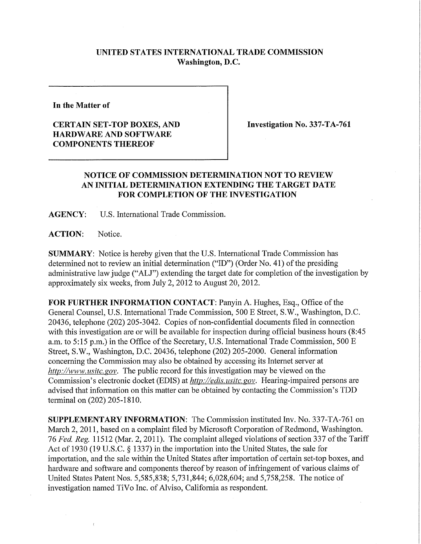## **UNITED STATES INTERNATIONAL TRADE COMMISSION Washington, D.C.**

**In the Matter of** 

## **CERTAIN SET-TOP BOXES, AND HARDWARE AND SOFTWARE COMPONENTS THEREOF**

**Investigation No. 337-TA-761** 

## **NOTICE OF COMMISSION DETERMINATION NOT TO REVIEW AN INITIAL DETERMINATION EXTENDING THE TARGET DATE FOR COMPLETION OF THE INVESTIGATION**

**AGENCY:** U.S. International Trade Commission.

**ACTION:** Notice.

**i** 

 $\bar{\alpha}$ 

**SUMMARY:** Notice is hereby given that the U.S. International Trade Commission has determined not to review an initial determination ("ID") (Order No. 41) of the presiding administrative law judge ("ALJ") extending the target date for completion of the investigation by approximately six weeks, from July 2, 2012 to August 20, 2012.

**FOR FURTHER INFORMATION CONTACT:** Panyin A. Hughes, Esq., Office ofthe General Counsel, U.S. International Trade Commission, 500 E Street, S.W., Washington, D.C. 20436, telephone (202) 205-3042. Copies of non-confidential documents filed in connection with this investigation are or will be available for inspection during official business hours (8:45 a.m. to 5:15 p.m.) in the Office of the Secretary, U.S. International Trade Commission, 500 E Street, S.W., Washington, D.C. 20436, telephone (202) 205-2000. General information concerning the Commission may also be obtained by accessing its Internet server at *http://www, usitc. gov.* The public record for this investigation may be viewed on the Commission's electronic docket (EDIS) at *http://edis.usitc.gov.* Hearing-impaired persons are advised that information on this matter can be obtained by contacting the Commission's TDD terminal on (202) 205-1810.

**SUPPLEMENTARY INFORMATION:** The Commission instituted Inv. No. 337-TA-761 on March 2, 2011, based on a complaint filed by Microsoft Corporation of Redmond, Washington. 76 Fed. Reg. 11512 (Mar. 2, 2011). The complaint alleged violations of section 337 of the Tariff Act of 1930 (19 U.S.C. § 1337) in the importation into the United States, the sale for importation, and the sale within the United States after importation of certain set-top boxes, and hardware and software and components thereof by reason of infringement of various claims of United States Patent Nos. 5,585,838; 5,731,844; 6,028,604; and 5,758,258. The notice of investigation named TiVo Inc. of Alviso, California as respondent.